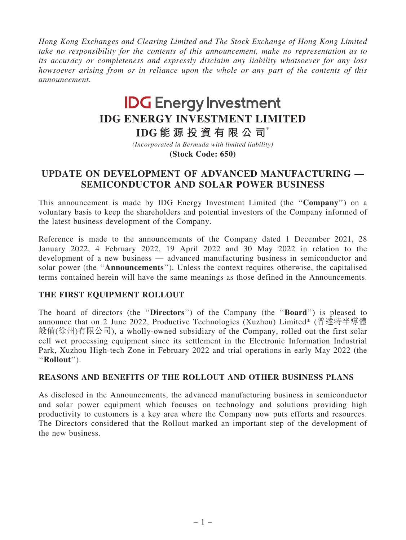Hong Kong Exchanges and Clearing Limited and The Stock Exchange of Hong Kong Limited take no responsibility for the contents of this announcement, make no representation as to its accuracy or completeness and expressly disclaim any liability whatsoever for any loss howsoever arising from or in reliance upon the whole or any part of the contents of this announcement.

# **IDG Energy Investment IDG ENERGY INVESTMENT LIMITED**

**IDG 能 源 投 資 有 限 公 司**\*

**(Stock Code: 650)** *(Incorporated in Bermuda with limited liability)*

## UPDATE ON DEVELOPMENT OF ADVANCED MANUFACTURING — SEMICONDUCTOR AND SOLAR POWER BUSINESS

This announcement is made by IDG Energy Investment Limited (the ''Company'') on a voluntary basis to keep the shareholders and potential investors of the Company informed of the latest business development of the Company.

Reference is made to the announcements of the Company dated 1 December 2021, 28 January 2022, 4 February 2022, 19 April 2022 and 30 May 2022 in relation to the development of a new business — advanced manufacturing business in semiconductor and solar power (the ''Announcements''). Unless the context requires otherwise, the capitalised terms contained herein will have the same meanings as those defined in the Announcements.

### THE FIRST EQUIPMENT ROLLOUT

The board of directors (the "Directors") of the Company (the "Board") is pleased to announce that on 2 June 2022, Productive Technologies (Xuzhou) Limited\* (普達特半導體 設備(徐州)有限公司), a wholly-owned subsidiary of the Company, rolled out the first solar cell wet processing equipment since its settlement in the Electronic Information Industrial Park, Xuzhou High-tech Zone in February 2022 and trial operations in early May 2022 (the ''Rollout'').

#### REASONS AND BENEFITS OF THE ROLLOUT AND OTHER BUSINESS PLANS

As disclosed in the Announcements, the advanced manufacturing business in semiconductor and solar power equipment which focuses on technology and solutions providing high productivity to customers is a key area where the Company now puts efforts and resources. The Directors considered that the Rollout marked an important step of the development of the new business.